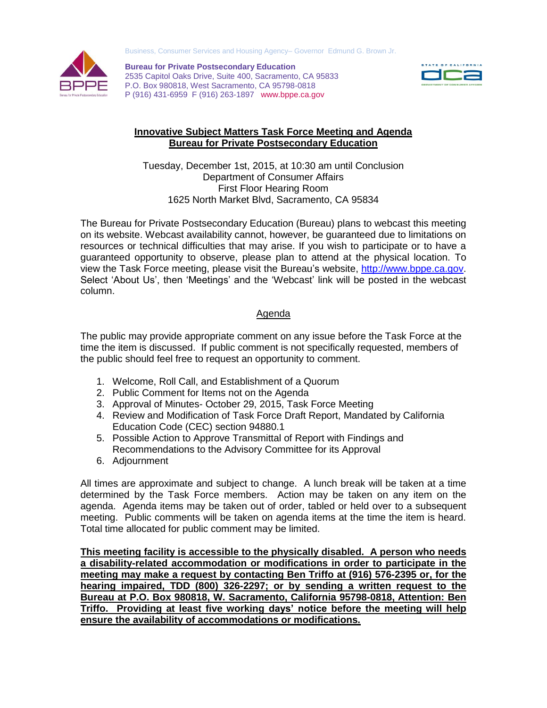Business, Consumer Services and Housing Agency– Governor Edmund G. Brown Jr.



**Bureau for Private Postsecondary Education** 2535 Capitol Oaks Drive, Suite 400, Sacramento, CA 95833 P.O. Box 980818, West Sacramento, CA 95798-0818 P (916) 431-6959 F (916) 263-1897 www.bppe.ca.gov



## **Innovative Subject Matters Task Force Meeting and Agenda Bureau for Private Postsecondary Education**

Tuesday, December 1st, 2015, at 10:30 am until Conclusion Department of Consumer Affairs First Floor Hearing Room 1625 North Market Blvd, Sacramento, CA 95834

The Bureau for Private Postsecondary Education (Bureau) plans to webcast this meeting on its website. Webcast availability cannot, however, be guaranteed due to limitations on resources or technical difficulties that may arise. If you wish to participate or to have a guaranteed opportunity to observe, please plan to attend at the physical location. To view the Task Force meeting, please visit the Bureau's website, [http://www.bppe.ca.gov.](http://www.bppe.ca.gov/) Select 'About Us', then 'Meetings' and the 'Webcast' link will be posted in the webcast column.

## Agenda

The public may provide appropriate comment on any issue before the Task Force at the time the item is discussed. If public comment is not specifically requested, members of the public should feel free to request an opportunity to comment.

- 1. Welcome, Roll Call, and Establishment of a Quorum
- 2. Public Comment for Items not on the Agenda
- 3. Approval of Minutes- October 29, 2015, Task Force Meeting
- 4. Review and Modification of Task Force Draft Report, Mandated by California Education Code (CEC) section 94880.1
- 5. Possible Action to Approve Transmittal of Report with Findings and Recommendations to the Advisory Committee for its Approval
- 6. Adjournment

All times are approximate and subject to change. A lunch break will be taken at a time determined by the Task Force members. Action may be taken on any item on the agenda. Agenda items may be taken out of order, tabled or held over to a subsequent meeting. Public comments will be taken on agenda items at the time the item is heard. Total time allocated for public comment may be limited.

**This meeting facility is accessible to the physically disabled. A person who needs a disability-related accommodation or modifications in order to participate in the meeting may make a request by contacting Ben Triffo at (916) 576-2395 or, for the hearing impaired, TDD (800) 326-2297; or by sending a written request to the Bureau at P.O. Box 980818, W. Sacramento, California 95798-0818, Attention: Ben Triffo. Providing at least five working days' notice before the meeting will help ensure the availability of accommodations or modifications.**